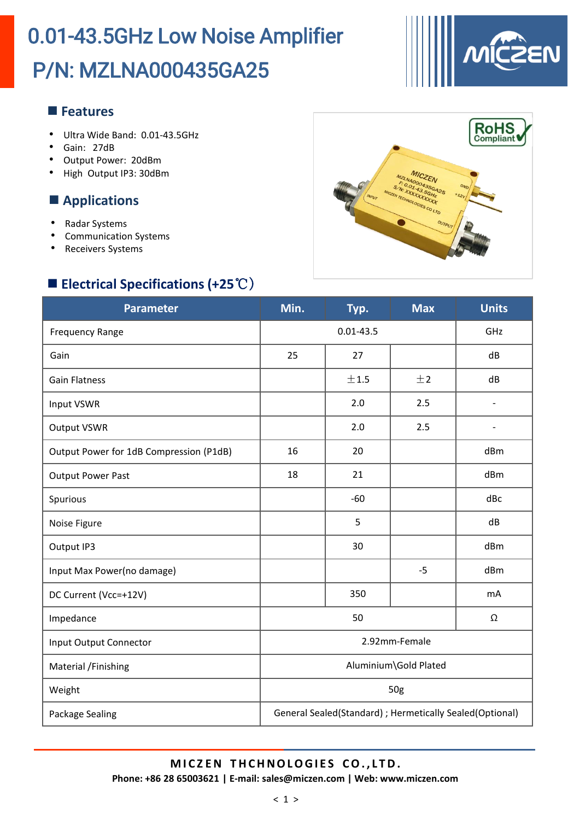

#### **Features**

- Ultra Wide Band: 0.01-43.5GHz
- Gain: 27dB
- Output Power: 20dBm
- High Output IP3: 30dBm

#### **Applications**

- Radar Systems
- Communication Systems
- Receivers Systems

### **Electrical Specifications (+25**℃)



| <b>Parameter</b>                        | Min.                                                     | Typ.  | <b>Max</b> | <b>Units</b>             |
|-----------------------------------------|----------------------------------------------------------|-------|------------|--------------------------|
| <b>Frequency Range</b>                  | $0.01 - 43.5$                                            |       |            | GHz                      |
| Gain                                    | 25                                                       | 27    |            | dB                       |
| <b>Gain Flatness</b>                    |                                                          | ±1.5  | ±2         | dB                       |
| Input VSWR                              |                                                          | 2.0   | 2.5        | $\overline{\phantom{a}}$ |
| <b>Output VSWR</b>                      |                                                          | 2.0   | 2.5        | $\overline{\phantom{a}}$ |
| Output Power for 1dB Compression (P1dB) | 16                                                       | 20    |            | dBm                      |
| <b>Output Power Past</b>                | 18                                                       | 21    |            | dBm                      |
| Spurious                                |                                                          | $-60$ |            | dBc                      |
| Noise Figure                            |                                                          | 5     |            | dB                       |
| Output IP3                              |                                                          | 30    |            | dBm                      |
| Input Max Power(no damage)              |                                                          |       | $-5$       | dBm                      |
| DC Current (Vcc=+12V)                   |                                                          | 350   |            | mA                       |
| Impedance                               | 50<br>Ω                                                  |       |            |                          |
| Input Output Connector                  | 2.92mm-Female                                            |       |            |                          |
| Material /Finishing                     | Aluminium\Gold Plated                                    |       |            |                          |
| Weight                                  | 50g                                                      |       |            |                          |
| Package Sealing                         | General Sealed(Standard) ; Hermetically Sealed(Optional) |       |            |                          |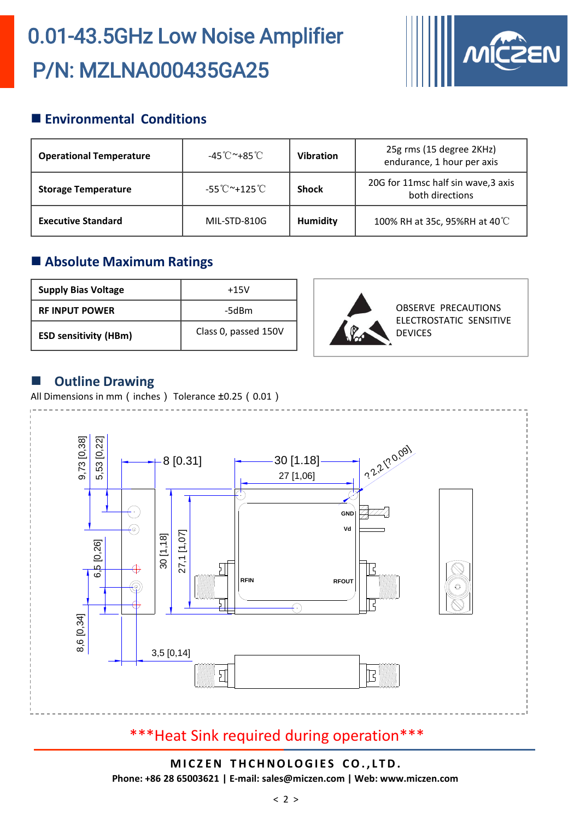

### **Environmental Conditions**

| <b>Operational Temperature</b> | -45℃~+85℃    | <b>Vibration</b> | 25g rms (15 degree 2KHz)<br>endurance, 1 hour per axis |
|--------------------------------|--------------|------------------|--------------------------------------------------------|
| <b>Storage Temperature</b>     | -55℃~+125℃   | <b>Shock</b>     | 20G for 11msc half sin wave, 3 axis<br>both directions |
| <b>Executive Standard</b>      | MIL-STD-810G | <b>Humidity</b>  | 100% RH at 35c, 95%RH at 40°C                          |

#### **Absolute Maximum Ratings**

| <b>Supply Bias Voltage</b>   | $+15V$               |
|------------------------------|----------------------|
| <b>RE INPUT POWER</b>        | -5dBm                |
| <b>ESD sensitivity (HBm)</b> | Class 0, passed 150V |



#### **Outline Drawing**

All Dimensions in mm (inches) Tolerance ±0.25 (0.01)



## \*\*\*Heat Sink required during operation\*\*\*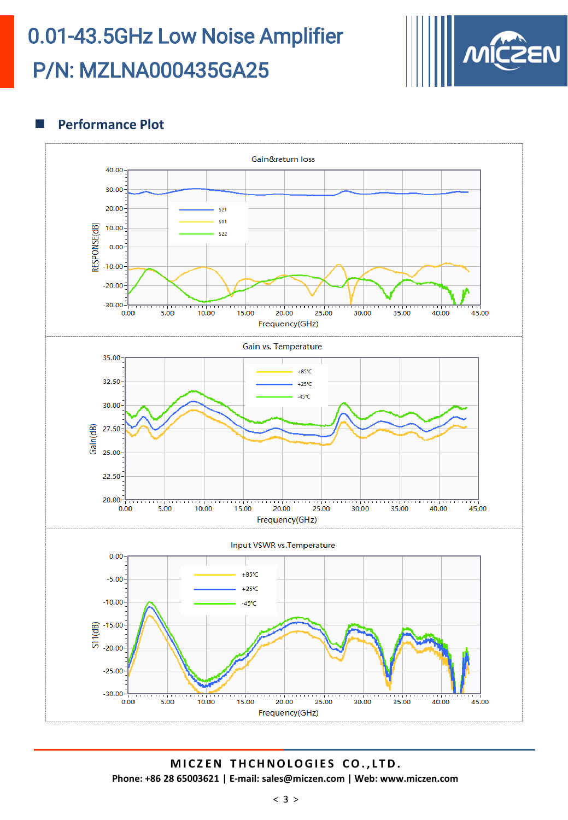

#### **Performance Plot**

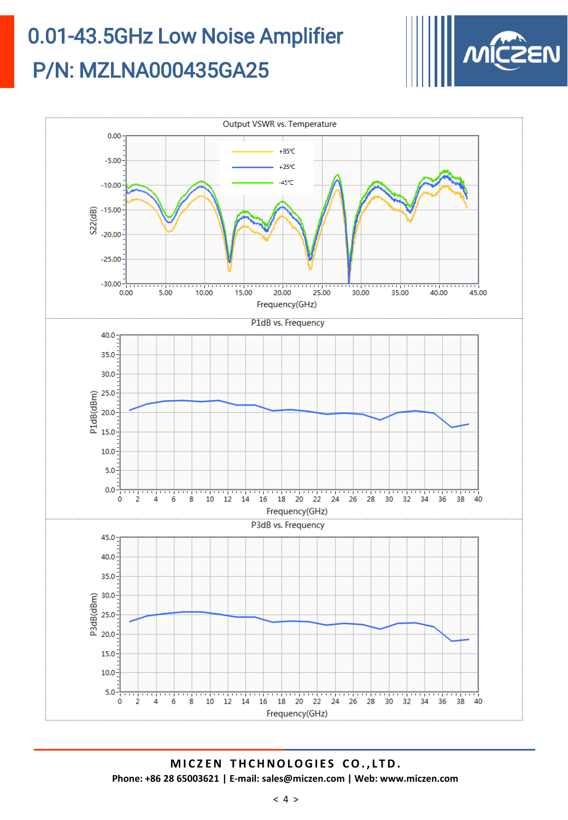